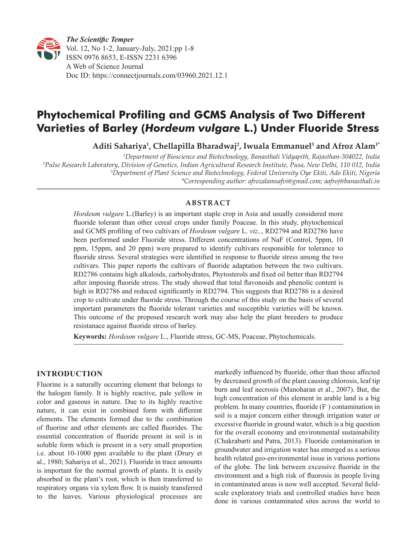

# **Phytochemical Profiling and GCMS Analysis of Two Different Varieties of Barley (***Hordeum vulgare* **L.) Under Fluoride Stress**

**Aditi Sahariya1 , Chellapilla Bharadwaj2 , Iwuala Emmanuel3 and Afroz Alam1\***

 *Department of Bioscience and Biotechnology, Banasthali Vidyapith, Rajasthan-304022, India Pulse Research Laboratory, Division of Genetics, Indian Agricultural Research Institute, Pusa, New Delhi, 110 012, India Department of Plant Science and Biotechnology, Federal University Oye Ekiti, Ado Ekiti, Nigeria \*Corresponding author: afrozalamsafvi@gmail.com; aafroj@banasthali.in*

# **ABSTRACT**

*Hordeum vulgare* L.(Barley) is an important staple crop in Asia and usually considered more fluoride tolerant than other cereal crops under family Poaceae. In this study, phytochemical and GCMS profiling of two cultivars of *Hordeum vulgare* L. *viz*.*.*, RD2794 and RD2786 have been performed under Fluoride stress. Different concentrations of NaF (Control, 5ppm, 10 ppm, 15ppm, and 20 ppm) were prepared to identify cultivars responsible for tolerance to fluoride stress. Several strategies were identified in response to fluoride stress among the two cultivars. This paper reports the cultivars of fluoride adaptation between the two cultivars. RD2786 contains high alkaloids, carbohydrates, Phytosterols and fixed oil better than RD2794 after imposing fluoride stress. The study showed that total flavonoids and phenolic content is high in RD2786 and reduced significantly in RD2794. This suggests that RD2786 is a desired crop to cultivate under fluoride stress. Through the course of this study on the basis of several important parameters the fluoride tolerant varieties and susceptible varieties will be known. This outcome of the proposed research work may also help the plant breeders to produce resistanace against fluoride stress of barley.

**Keywords:** *Hordeum vulgare* L., Fluoride stress, GC-MS, Poaceae, Phytochemicals.

# **INTRODUCTION**

Fluorine is a naturally occurring element that belongs to the halogen family. It is highly reactive, pale yellow in color and gaseous in nature. Due to its highly reactive nature, it can exist in combined form with different elements. The elements formed due to the combination of fluorine and other elements are called fluorides. The essential concentration of fluoride present in soil is in soluble form which is present in a very small proportion i.e. about 10-1000 ppm available to the plant (Drury et al., 1980; Sahariya et al., 2021). Fluoride in trace amounts is important for the normal growth of plants. It is easily absorbed in the plant's root, which is then transferred to respiratory organs via xylem flow. It is mainly transferred to the leaves. Various physiological processes are markedly influenced by fluoride, other than those affected by decreased growth of the plant causing chlorosis, leaf tip burn and leaf necrosis (Manoharan et al., 2007). But, the high concentration of this element in arable land is a big problem. In many countries, fluoride (F– ) contamination in soil is a major concern either through irrigation water or excessive fluoride in ground water, which is a big question for the overall economy and environmental sustainability (Chakrabarti and Patra, 2013). Fluoride contamination in groundwater and irrigation water has emerged as a serious health related geo-environmental issue in various portions of the globe. The link between excessive fluoride in the environment and a high risk of fluorosis in people living in contaminated areas is now well accepted. Several fieldscale exploratory trials and controlled studies have been done in various contaminated sites across the world to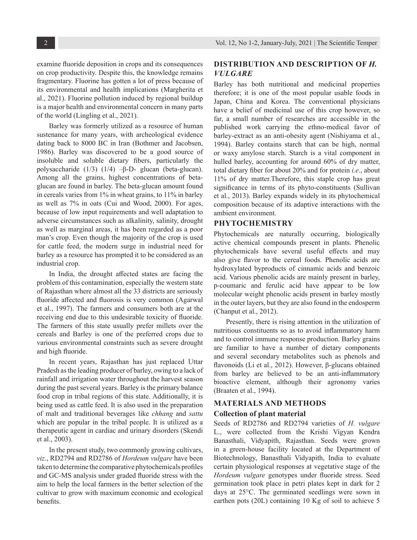examine fluoride deposition in crops and its consequences on crop productivity. Despite this, the knowledge remains fragmentary. Fluorine has gotten a lot of press because of its environmental and health implications (Margherita et al., 2021). Fluorine pollution induced by regional buildup is a major health and environmental concern in many parts of the world (Lingling et al., 2021).

Barley was formerly utilized as a resource of human sustenance for many years, with archeological evidence dating back to 8000 BC in Iran (Bothmer and Jacobsen, 1986). Barley was discovered to be a good source of insoluble and soluble dietary fibers, particularly the polysaccharide (1/3) (1/4) –β-D- glucan (beta-glucan). Among all the grains, highest concentrations of betaglucan are found in barley. The beta-glucan amount found in cereals varies from 1% in wheat grains, to 11% in barley as well as 7% in oats (Cui and Wood, 2000). For ages, because of low input requirements and well adaptation to adverse circumstances such as alkalinity, salinity, drought as well as marginal areas, it has been regarded as a poor man's crop. Even though the majority of the crop is used for cattle feed, the modern surge in industrial need for barley as a resource has prompted it to be considered as an industrial crop.

In India, the drought affected states are facing the problem of this contamination, especially the western state of Rajasthan where almost all the 33 districts are seriously fluoride affected and fluorosis is very common (Agarwal et al., 1997). The farmers and consumers both are at the receiving end due to this undesirable toxicity of fluoride. The farmers of this state usually prefer millets over the cereals and Barley is one of the preferred crops due to various environmental constraints such as severe drought and high fluoride.

In recent years, Rajasthan has just replaced Uttar Pradesh as the leading producer of barley, owing to a lack of rainfall and irrigation water throughout the harvest season during the past several years. Barley is the primary balance food crop in tribal regions of this state. Additionally, it is being used as cattle feed. It is also used in the preparation of malt and traditional beverages like *chhang* and *sattu* which are popular in the tribal people. It is utilized as a therapeutic agent in cardiac and urinary disorders (Skendi et al., 2003).

In the present study, two commonly growing cultivars, *viz*., RD2794 and RD2786 of *Hordeum vulgare* have been taken to determine the comparative phytochemicals profiles and GC-MS analysis under graded fluoride stress with the aim to help the local farmers in the better selection of the cultivar to grow with maximum economic and ecological benefits.

# **DISTRIBUTION AND DESCRIPTION OF** *H. VULGARE*

Barley has both nutritional and medicinal properties therefore; it is one of the most popular usable foods in Japan, China and Korea. The conventional physicians have a belief of medicinal use of this crop however, so far, a small number of researches are accessible in the published work carrying the ethno-medical favor of barley-extract as an anti-obesity agent (Nishiyama et al., 1994). Barley contains starch that can be high, normal or waxy amylose starch. Starch is a vital component in hulled barley, accounting for around 60% of dry matter, total dietary fiber for about 20% and for protein *i.e*., about 11% of dry matter.Therefore, this staple crop has great significance in terms of its phyto-constituents (Sullivan et al., 2013). Barley expands widely in its phytochemical composition because of its adaptive interactions with the ambient environment.

#### **PHYTOCHEMISTRY**

Phytochemicals are naturally occurring, biologically active chemical compounds present in plants. Phenolic phytochemicals have several useful effects and may also give flavor to the cereal foods. Phenolic acids are hydroxylated byproducts of cinnamic acids and benzoic acid. Various phenolic acids are mainly present in barley, p-coumaric and ferulic acid have appear to be low molecular weight phenolic acids present in barley mostly in the outer layers, but they are also found in the endosperm (Chanput et al., 2012).

Presently, there is rising attention in the utilization of nutritious constituents so as to avoid inflammatory harm and to control immune response production. Barley grains are familiar to have a number of dietary components and several secondary metabolites such as phenols and flavonoids (Li et al., 2012). However, β-glucans obtained from barley are believed to be an anti-inflammatory bioactive element, although their agronomy varies (Braaten et al., 1994).

#### **MATERIALS AND METHODS**

#### **Collection of plant material**

Seeds of RD2786 and RD2794 varieties of *H. vulgare* L., were collected from the Krishi Vigyan Kendra Banasthali, Vidyapith, Rajasthan. Seeds were grown in a green-house facility located at the Department of Biotechnology, Banasthali Vidyapith, India to evaluate certain physiological responses at vegetative stage of the *Hordeum vulgare* genotypes under fluoride stress. Seed germination took place in petri plates kept in dark for 2 days at 25°C. The germinated seedlings were sown in earthen pots (20L) containing 10 Kg of soil to achieve 5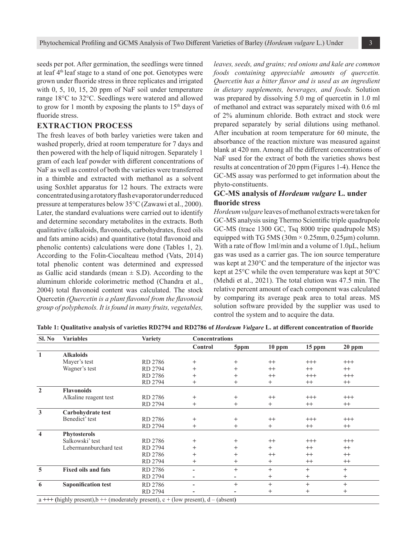seeds per pot. After germination, the seedlings were tinned at leaf 4th leaf stage to a stand of one pot. Genotypes were grown under fluoride stress in three replicates and irrigated with 0, 5, 10, 15, 20 ppm of NaF soil under temperature range 18°C to 32°C. Seedlings were watered and allowed to grow for 1 month by exposing the plants to  $15<sup>th</sup>$  days of fluoride stress.

# **EXTRACTION PROCESS**

The fresh leaves of both barley varieties were taken and washed properly, dried at room temperature for 7 days and then powered with the help of liquid nitrogen. Separately 1 gram of each leaf powder with different concentrations of NaF as well as control of both the varieties were transferred in a thimble and extracted with methanol as a solvent using Soxhlet apparatus for 12 hours. The extracts were concentrated using a rotatory flash evaporator under reduced pressure at temperatures below 35°C (Zawawi et al., 2000). Later, the standard evaluations were carried out to identify and determine secondary metabolites in the extracts. Both qualitative (alkaloids, flavonoids, carbohydrates, fixed oils and fats amino acids) and quantitative (total flavonoid and phenolic contents) calculations were done (Tables 1, 2). According to the Folin-Ciocalteau method (Vats, 2014) total phenolic content was determined and expressed as Gallic acid standards (mean  $\pm$  S.D). According to the aluminum chloride colorimetric method (Chandra et al., 2004) total flavonoid content was calculated. The stock Quercetin *(Quercetin is a plant flavonol from the flavonoid group of polyphenols. It is found in many fruits, vegetables,* 

*leaves, seeds, and grains; red onions and kale are common foods containing appreciable amounts of quercetin. Quercetin has a bitter flavor and is used as an ingredient in dietary supplements, beverages, and foods.* Solution was prepared by dissolving 5.0 mg of quercetin in 1.0 ml of methanol and extract was separately mixed with 0.6 ml of 2% aluminum chloride. Both extract and stock were prepared separately by serial dilutions using methanol. After incubation at room temperature for 60 minute, the absorbance of the reaction mixture was measured against blank at 420 nm. Among all the different concentrations of NaF used for the extract of both the varieties shows best results at concentration of 20 ppm (Figures 1-4). Hence the GC-MS assay was performed to get information about the phyto-constituents.

## **GC-MS analysis of** *Hordeum vulgare* **L. under fluoride stress**

*Hordeum vulgare* leaves of methanol extracts were taken for GC-MS analysis using Thermo Scientific triple quadrupole GC-MS (trace 1300 GC, Tsq 8000 tripe quadrupole MS) equipped with TG 5MS  $(30m \times 0.25mm, 0.25\mu m)$  column. With a rate of flow 1ml/min and a volume of 1.0μL, helium gas was used as a carrier gas. The ion source temperature was kept at 230°C and the temperature of the injector was kept at 25°C while the oven temperature was kept at 50°C (Mehdi et al., 2021). The total elution was 47.5 min. The relative percent amount of each component was calculated by comparing its average peak area to total areas. MS solution software provided by the supplier was used to control the system and to acquire the data.

| Sl. No                                                                               | <b>Variables</b>           | <b>Variety</b> | <b>Concentrations</b> |                |         |          |          |  |
|--------------------------------------------------------------------------------------|----------------------------|----------------|-----------------------|----------------|---------|----------|----------|--|
|                                                                                      |                            |                | Control               | 5ppm           | 10 ppm  | 15 ppm   | $20$ ppm |  |
| $\mathbf{1}$                                                                         | <b>Alkaloids</b>           |                |                       |                |         |          |          |  |
|                                                                                      | Mayer's test               | RD 2786        | $^{+}$                | $^{+}$         | $^{++}$ | $^{+++}$ | $^{+++}$ |  |
|                                                                                      | Wagner's test              | RD 2794        | $^{+}$                | $^{+}$         | $^{++}$ | $^{++}$  | $++$     |  |
|                                                                                      |                            | RD 2786        | $^{+}$                | $^{+}$         | $^{++}$ | $^{+++}$ | $^{+++}$ |  |
|                                                                                      |                            | RD 2794        | $^{+}$                | $^{+}$         | $^{+}$  | $^{++}$  | $^{++}$  |  |
| $\overline{2}$                                                                       | <b>Flavonoids</b>          |                |                       |                |         |          |          |  |
|                                                                                      | Alkaline reagent test      | RD 2786        | $^{+}$                | $^{+}$         | $^{++}$ | $^{+++}$ | $^{+++}$ |  |
|                                                                                      |                            | RD 2794        | $^{+}$                | $+$            | $+$     | $++$     | $^{++}$  |  |
| $\overline{\mathbf{3}}$                                                              | Carbohydrate test          |                |                       |                |         |          |          |  |
|                                                                                      | Benedict' test             | RD 2786        | $^{+}$                | $^{+}$         | $^{++}$ | $^{+++}$ | $^{+++}$ |  |
|                                                                                      |                            | RD 2794        | $^{+}$                | $^{+}$         | $^{+}$  | $^{++}$  | $^{++}$  |  |
| $\overline{\mathbf{4}}$                                                              | <b>Phytosterols</b>        |                |                       |                |         |          |          |  |
|                                                                                      | Salkowski' test            | RD 2786        | $^{+}$                | $^{+}$         | $^{++}$ | $^{+++}$ | $^{+++}$ |  |
|                                                                                      | Lebermannburchard test     | RD 2794        | $^{+}$                | $^{+}$         | $+$     | $++$     | $^{++}$  |  |
|                                                                                      |                            | RD 2786        | $^{+}$                | $\overline{+}$ | $^{++}$ | $^{++}$  | $^{++}$  |  |
|                                                                                      |                            | RD 2794        | $\mathrm{+}$          | $\, +$         | $^{+}$  | $^{++}$  | $^{++}$  |  |
| 5                                                                                    | <b>Fixed oils and fats</b> | RD 2786        |                       | $+$            | $+$     | $+$      | $+$      |  |
|                                                                                      |                            | RD 2794        |                       |                | $^+$    | $^{+}$   | $^{+}$   |  |
| 6                                                                                    | <b>Saponification test</b> | RD 2786        |                       | $+$            | $+$     | $+$      | $+$      |  |
|                                                                                      |                            | RD 2794        |                       |                | $^+$    | $^{+}$   | $^{+}$   |  |
| $a$ +++ (highly present), b ++ (moderately present), c + (low present), d – (absent) |                            |                |                       |                |         |          |          |  |

**Table 1: Qualitative analysis of varieties RD2794 and RD2786 of** *Hordeum Vulgare* **L. at different concentration of fluoride**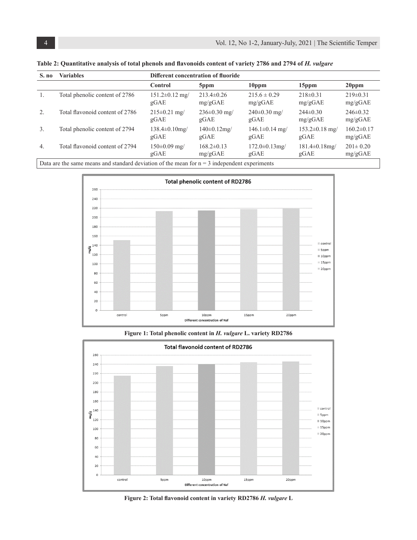| S. no                                                                                                 | <b>Variables</b>                | Different concentration of fluoride |                             |                              |                              |                             |  |
|-------------------------------------------------------------------------------------------------------|---------------------------------|-------------------------------------|-----------------------------|------------------------------|------------------------------|-----------------------------|--|
|                                                                                                       |                                 | Control                             | 5ppm                        | 10 <sub>ppm</sub>            | 15ppm                        | 20 <sub>ppm</sub>           |  |
| 1.                                                                                                    | Total phenolic content of 2786  | $151.2 \pm 0.12$ mg/<br>gGAE        | $213.4 \pm 0.26$<br>mg/gGAE | $215.6 \pm 0.29$<br>mg/gGAE  | $218\pm0.31$<br>mg/gGAE      | $219 \pm 0.31$<br>mg/gGAE   |  |
| 2.                                                                                                    | Total flavonoid content of 2786 | $215 \pm 0.21$ mg/<br>gGAE          | $236 \pm 0.30$ mg/<br>gGAE  | $240\pm0.30$ mg/<br>gGAE     | $244\pm0.30$<br>mg/gGAE      | $246 \pm 0.32$<br>mg/gGAE   |  |
| $\mathfrak{Z}$ .                                                                                      | Total phenolic content of 2794  | $138.4 \pm 0.10$ mg/<br>gGAE        | $140 \pm 0.12$ mg/<br>gGAE  | $146.1 \pm 0.14$ mg/<br>gGAE | $153.2 \pm 0.18$ mg/<br>gGAE | $160.2 \pm 0.17$<br>mg/gGAE |  |
| $\overline{4}$ .                                                                                      | Total flavonoid content of 2794 | $150\pm0.09$ mg/<br>gGAE            | $168.2 \pm 0.13$<br>mg/gGAE | $172.0 \pm 0.13$ mg/<br>gGAE | $181.4\pm0.18$ mg/<br>gGAE   | $201 \pm 0.20$<br>mg/gGAE   |  |
| Dete and the cause means and standard deviation of the mean fauge $\epsilon$ independent evening anta |                                 |                                     |                             |                              |                              |                             |  |

Table 2: Quantitative analysis of total phenols and flavonoids content of variety 2786 and 2794 of *H. vulgare* 

Data are the same means and standard deviation of the mean for  $n = 3$  independent experiments



**Figure 1: Total phenolic content in** *H. vulgare* **L. variety RD2786**

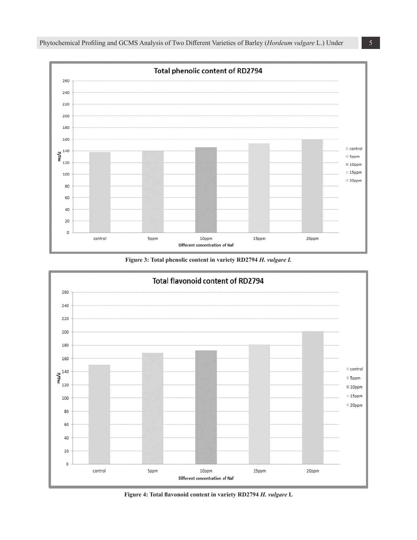

**Figure 3: Total phenolic content in variety RD2794** *H. vulgare L*



**Figure 4: Total flavonoid content in variety RD2794** *H. vulgare* **L**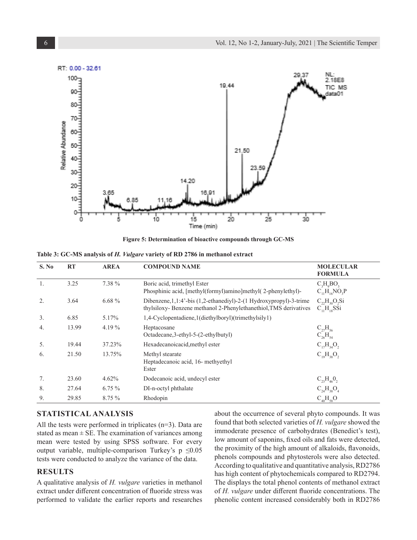

**Figure 5: Determination of bioactive compounds through GC-MS**

|  | Table 3: GC-MS analysis of <i>H. Vulgare</i> variety of RD 2786 in methanol extract |  |  |  |
|--|-------------------------------------------------------------------------------------|--|--|--|
|  |                                                                                     |  |  |  |

| S. No | <b>RT</b> | <b>AREA</b> | <b>COMPOUND NAME</b>                                                                                                                     | <b>MOLECULAR</b><br><b>FORMULA</b>       |
|-------|-----------|-------------|------------------------------------------------------------------------------------------------------------------------------------------|------------------------------------------|
| 1.    | 3.25      | 7.38 %      | Boric acid, trimethyl Ester<br>Phosphinic acid, [methyl(formyl)amino]methyl(2-phenylethyl)-                                              | $C_3H_0BO_3$<br>$C_{11}H_{16}NO_3P$      |
| 2.    | 3.64      | $6.68\%$    | Dibenzene, 1, 1:4'-bis (1,2-ethanediyl)-2-(1 Hydroxypropyl)-3-trime<br>thylsiloxy- Benzene methanol 2-Phenylethanethiol, TMS derivatives | $C_{22}H_{30}O_2Si$<br>$C_{11}H_{18}SSi$ |
| 3.    | 6.85      | 5.17%       | 1,4-Cyclopentadiene,1(diethylboryl)(trimethylsily1)                                                                                      |                                          |
| 4.    | 13.99     | 4.19%       | Heptacosane<br>Octadecane, 3-ethyl-5-(2-ethylbutyl)                                                                                      | $C_{27}H_{56}$<br>$C_{26}H_{54}$         |
| 5.    | 19.44     | 37.23%      | Hexadecanoicacid, methyl ester                                                                                                           | $C_{17}H_{34}O_2$                        |
| 6.    | 21.50     | 13.75%      | Methyl stearate<br>Heptadecanoic acid, 16- methyethyl<br>Ester                                                                           | $C_{19}H_{38}O_2$                        |
| 7.    | 23.60     | 4.62%       | Dodecanoic acid, undecyl ester                                                                                                           | $C_{23}H_{46}O_2$                        |
| 8.    | 27.64     | $6.75\%$    | DI-n-octyl phthalate                                                                                                                     | $C_{24}H_{38}O_4$                        |
| 9.    | 29.85     | 8.75 %      | Rhodopin                                                                                                                                 | $C_{40}H_{58}O$                          |

## **STATISTICAL ANALYSIS**

All the tests were performed in triplicates (n=3). Data are stated as mean  $\pm$  SE. The examination of variances among mean were tested by using SPSS software. For every output variable, multiple-comparison Turkey's  $p \leq 0.05$ tests were conducted to analyze the variance of the data.

## **RESULTS**

A qualitative analysis of *H. vulgare v*arieties in methanol extract under different concentration of fluoride stress was performed to validate the earlier reports and researches about the occurrence of several phyto compounds. It was found that both selected varieties of *H. vulgare* showed the immoderate presence of carbohydrates (Benedict's test), low amount of saponins, fixed oils and fats were detected, the proximity of the high amount of alkaloids, flavonoids, phenols compounds and phytosterols were also detected. According to qualitative and quantitative analysis, RD2786 has high content of phytochemicals compared to RD2794. The displays the total phenol contents of methanol extract of *H. vulgare* under different fluoride concentrations. The phenolic content increased considerably both in RD2786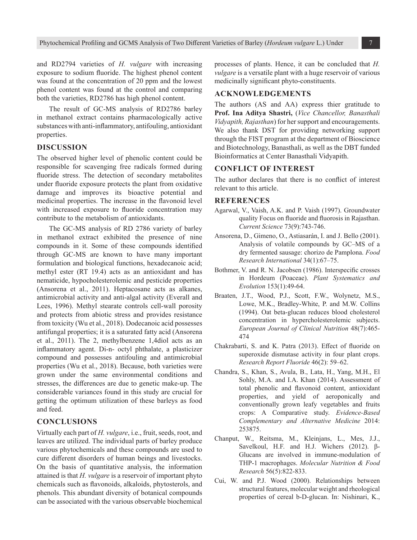and RD2794 varieties of *H. vulgare* with increasing exposure to sodium fluoride. The highest phenol content was found at the concentration of 20 ppm and the lowest phenol content was found at the control and comparing both the varieties, RD2786 has high phenol content.

The result of GC-MS analysis of RD2786 barley in methanol extract contains pharmacologically active substances with anti-inflammatory, antifouling, antioxidant properties.

#### **DISCUSSION**

The observed higher level of phenolic content could be responsible for scavenging free radicals formed during fluoride stress. The detection of secondary metabolites under fluoride exposure protects the plant from oxidative damage and improves its bioactive potential and medicinal properties. The increase in the flavonoid level with increased exposure to fluoride concentration may contribute to the metabolism of antioxidants.

The GC-MS analysis of RD 2786 variety of barley in methanol extract exhibited the presence of nine compounds in it. Some of these compounds identified through GC-MS are known to have many important formulation and biological functions, hexadecanoic acid; methyl ester (RT 19.4) acts as an antioxidant and has nematicide, hypocholesterolemic and pesticide properties (Ansorena et al., 2011). Heptacosane acts as alkanes, antimicrobial activity and anti-algal activity (Everall and Lees, 1996). Methyl stearate controls cell-wall porosity and protects from abiotic stress and provides resistance from toxicity (Wu et al., 2018). Dodecanoic acid possesses antifungal properties; it is a saturated fatty acid (Ansorena et al., 2011). The 2, methylbenzene 1,4diol acts as an inflammatory agent. Di-n- octyl phthalate, a plasticizer compound and possesses antifouling and antimicrobial properties (Wu et al., 2018). Because, both varieties were grown under the same environmental conditions and stresses, the differences are due to genetic make-up. The considerable variances found in this study are crucial for getting the optimum utilization of these barleys as food and feed.

#### **CONCLUSIONS**

Virtually each part of *H. vulgare*, i.e., fruit, seeds, root, and leaves are utilized. The individual parts of barley produce various phytochemicals and these compounds are used to cure different disorders of human beings and livestocks. On the basis of quantitative analysis, the information attained is that *H. vulgare* is a reservoir of important phyto chemicals such as flavonoids, alkaloids, phytosterols, and phenols. This abundant diversity of botanical compounds can be associated with the various observable biochemical processes of plants. Hence, it can be concluded that *H. vulgare* is a versatile plant with a huge reservoir of various medicinally significant phyto-constituents.

#### **ACKNOWLEDGEMENTS**

The authors (AS and AA) express thier gratitude to **Prof. Ina Aditya Shastri,** (*Vice Chancellor, Banasthali Vidyapith, Rajasthan*) for her support and encouragements. We also thank DST for providing networking support through the FIST program at the department of Bioscience and Biotechnology, Banasthali, as well as the DBT funded Bioinformatics at Center Banasthali Vidyapith.

# **CONFLICT OF INTEREST**

The author declares that there is no conflict of interest relevant to this article.

#### **REFERENCES**

- Agarwal, V., Vaish, A.K. and P. Vaish (1997). Groundwater quality Focus on fluoride and fluorosis in Rajasthan. *Current Science* 73(9):743-746.
- Ansorena, D., Gimeno, O., Astiasarán, I. and J. Bello (2001). Analysis of volatile compounds by GC–MS of a dry fermented sausage: chorizo de Pamplona. *Food Research International* 34(1):67–75.
- Bothmer, V. and R. N. Jacobsen (1986). Interspecific crosses in Hordeum (Poaceae). *Plant Systematics and Evolution* 153(1):49-64.
- Braaten, J.T., Wood, P.J., Scott, F.W., Wolynetz, M.S., Lowe, M.K., Bradley-White, P. and M.W. Collins (1994). Oat beta-glucan reduces blood cholesterol concentration in hypercholesterolemic subjects. *European Journal of Clinical Nutrition* 48(7):465- 474
- Chakrabarti, S. and K. Patra (2013). Effect of fluoride on superoxide dismutase activity in four plant crops. *Research Report Fluoride* 46(2): 59–62.
- Chandra, S., Khan, S., Avula, B., Lata, H., Yang, M.H., El Sohly, M.A. and I.A. Khan (2014). Assessment of total phenolic and flavonoid content, antioxidant properties, and yield of aeroponically and conventionally grown leafy vegetables and fruits crops: A Comparative study. *Evidence-Based Complementary and Alternative Medicine* 2014: 253875.
- Chanput, W., Reitsma, M., Kleinjans, L., Mes, J.J., Savelkoul, H.F. and H.J. Wichers (2012). β-Glucans are involved in immune‐modulation of THP‐1 macrophages. *Molecular Nutrition & Food Research* 56(5):822-833.
- Cui, W. and P.J. Wood (2000). Relationships between structural features, molecular weight and rheological properties of cereal b-D-glucan. In: Nishinari, K.,